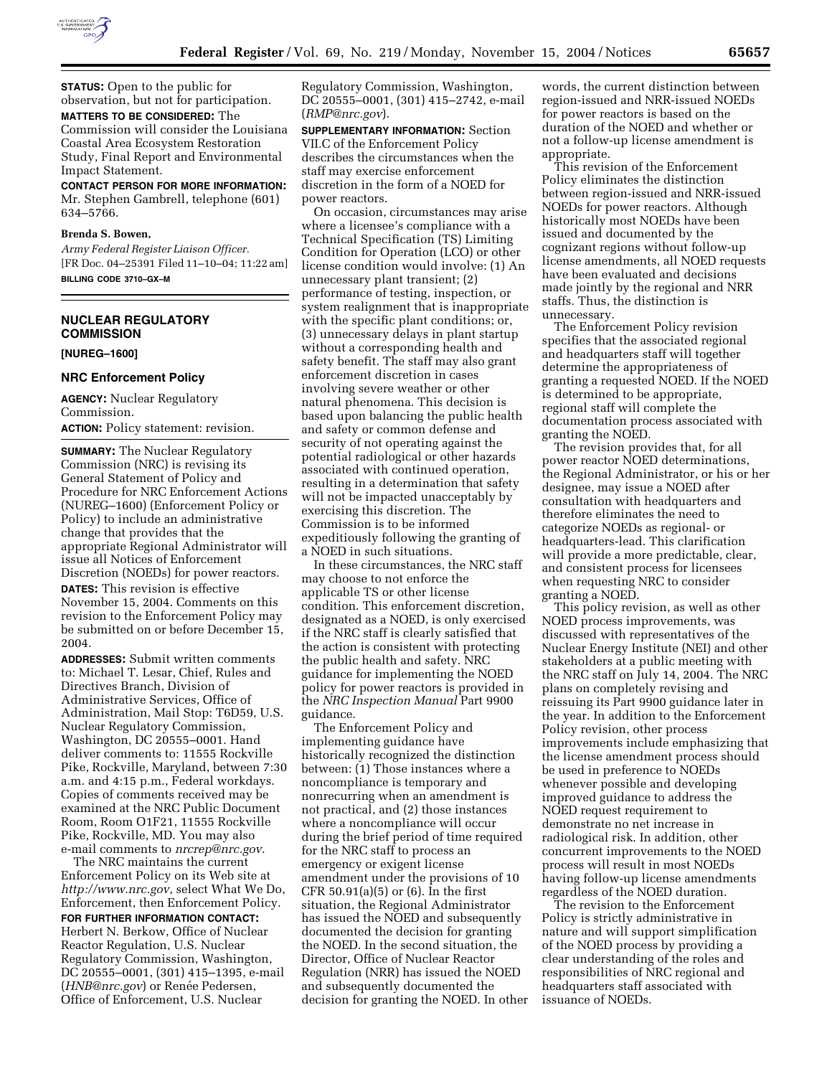

**STATUS:** Open to the public for observation, but not for participation. **MATTERS TO BE CONSIDERED:** The Commission will consider the Louisiana Coastal Area Ecosystem Restoration Study, Final Report and Environmental Impact Statement.

**CONTACT PERSON FOR MORE INFORMATION:** Mr. Stephen Gambrell, telephone (601) 634–5766.

#### **Brenda S. Bowen,**

*Army Federal Register Liaison Officer.* [FR Doc. 04–25391 Filed 11–10–04; 11:22 am] **BILLING CODE 3710–GX–M**

# **NUCLEAR REGULATORY COMMISSION**

**[NUREG–1600]** 

2004.

#### **NRC Enforcement Policy**

**AGENCY:** Nuclear Regulatory Commission. **ACTION:** Policy statement: revision.

**SUMMARY:** The Nuclear Regulatory Commission (NRC) is revising its General Statement of Policy and Procedure for NRC Enforcement Actions (NUREG–1600) (Enforcement Policy or Policy) to include an administrative change that provides that the appropriate Regional Administrator will issue all Notices of Enforcement Discretion (NOEDs) for power reactors. **DATES:** This revision is effective November 15, 2004. Comments on this revision to the Enforcement Policy may

be submitted on or before December 15,

**ADDRESSES:** Submit written comments to: Michael T. Lesar, Chief, Rules and Directives Branch, Division of Administrative Services, Office of Administration, Mail Stop: T6D59, U.S. Nuclear Regulatory Commission, Washington, DC 20555–0001. Hand deliver comments to: 11555 Rockville Pike, Rockville, Maryland, between 7:30 a.m. and 4:15 p.m., Federal workdays. Copies of comments received may be examined at the NRC Public Document Room, Room O1F21, 11555 Rockville Pike, Rockville, MD. You may also e-mail comments to *nrcrep@nrc.gov*.

The NRC maintains the current Enforcement Policy on its Web site at *http://www.nrc.gov*, select What We Do, Enforcement, then Enforcement Policy. **FOR FURTHER INFORMATION CONTACT:** Herbert N. Berkow, Office of Nuclear Reactor Regulation, U.S. Nuclear

Regulatory Commission, Washington, DC 20555–0001, (301) 415–1395, e-mail (*HNB@nrc.gov*) or Renée Pedersen, Office of Enforcement, U.S. Nuclear

Regulatory Commission, Washington, DC 20555–0001, (301) 415–2742, e-mail (*RMP@nrc.gov*).

**SUPPLEMENTARY INFORMATION:** Section VII.C of the Enforcement Policy describes the circumstances when the staff may exercise enforcement discretion in the form of a NOED for power reactors.

On occasion, circumstances may arise where a licensee's compliance with a Technical Specification (TS) Limiting Condition for Operation (LCO) or other license condition would involve: (1) An unnecessary plant transient; (2) performance of testing, inspection, or system realignment that is inappropriate with the specific plant conditions; or, (3) unnecessary delays in plant startup without a corresponding health and safety benefit. The staff may also grant enforcement discretion in cases involving severe weather or other natural phenomena. This decision is based upon balancing the public health and safety or common defense and security of not operating against the potential radiological or other hazards associated with continued operation, resulting in a determination that safety will not be impacted unacceptably by exercising this discretion. The Commission is to be informed expeditiously following the granting of a NOED in such situations.

In these circumstances, the NRC staff may choose to not enforce the applicable TS or other license condition. This enforcement discretion, designated as a NOED, is only exercised if the NRC staff is clearly satisfied that the action is consistent with protecting the public health and safety. NRC guidance for implementing the NOED policy for power reactors is provided in the *NRC Inspection Manual* Part 9900 guidance.

The Enforcement Policy and implementing guidance have historically recognized the distinction between: (1) Those instances where a noncompliance is temporary and nonrecurring when an amendment is not practical, and (2) those instances where a noncompliance will occur during the brief period of time required for the NRC staff to process an emergency or exigent license amendment under the provisions of 10 CFR 50.91(a)(5) or (6). In the first situation, the Regional Administrator has issued the NOED and subsequently documented the decision for granting the NOED. In the second situation, the Director, Office of Nuclear Reactor Regulation (NRR) has issued the NOED and subsequently documented the decision for granting the NOED. In other

words, the current distinction between region-issued and NRR-issued NOEDs for power reactors is based on the duration of the NOED and whether or not a follow-up license amendment is appropriate.

This revision of the Enforcement Policy eliminates the distinction between region-issued and NRR-issued NOEDs for power reactors. Although historically most NOEDs have been issued and documented by the cognizant regions without follow-up license amendments, all NOED requests have been evaluated and decisions made jointly by the regional and NRR staffs. Thus, the distinction is unnecessary.

The Enforcement Policy revision specifies that the associated regional and headquarters staff will together determine the appropriateness of granting a requested NOED. If the NOED is determined to be appropriate, regional staff will complete the documentation process associated with granting the NOED.

The revision provides that, for all power reactor NOED determinations, the Regional Administrator, or his or her designee, may issue a NOED after consultation with headquarters and therefore eliminates the need to categorize NOEDs as regional- or headquarters-lead. This clarification will provide a more predictable, clear, and consistent process for licensees when requesting NRC to consider granting a NOED.

This policy revision, as well as other NOED process improvements, was discussed with representatives of the Nuclear Energy Institute (NEI) and other stakeholders at a public meeting with the NRC staff on July 14, 2004. The NRC plans on completely revising and reissuing its Part 9900 guidance later in the year. In addition to the Enforcement Policy revision, other process improvements include emphasizing that the license amendment process should be used in preference to NOEDs whenever possible and developing improved guidance to address the NOED request requirement to demonstrate no net increase in radiological risk. In addition, other concurrent improvements to the NOED process will result in most NOEDs having follow-up license amendments regardless of the NOED duration.

The revision to the Enforcement Policy is strictly administrative in nature and will support simplification of the NOED process by providing a clear understanding of the roles and responsibilities of NRC regional and headquarters staff associated with issuance of NOEDs.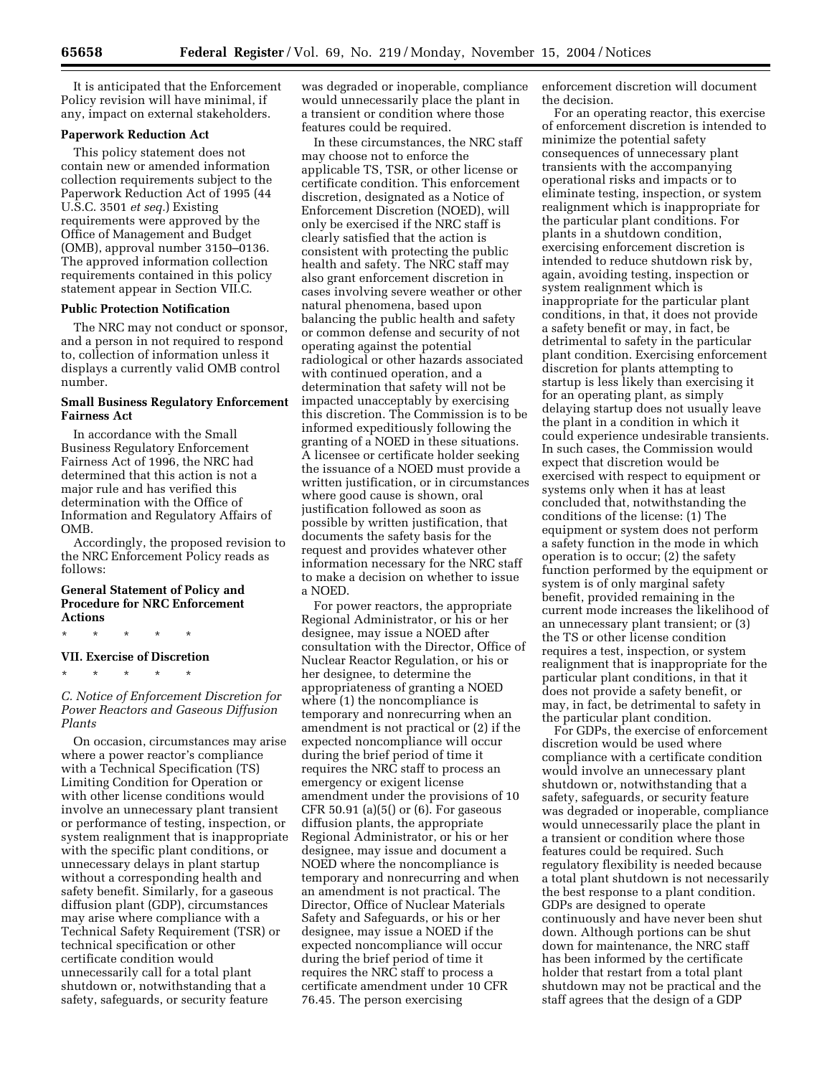It is anticipated that the Enforcement Policy revision will have minimal, if any, impact on external stakeholders.

### **Paperwork Reduction Act**

This policy statement does not contain new or amended information collection requirements subject to the Paperwork Reduction Act of 1995 (44 U.S.C. 3501 *et seq.*) Existing requirements were approved by the Office of Management and Budget (OMB), approval number 3150–0136. The approved information collection requirements contained in this policy statement appear in Section VII.C.

### **Public Protection Notification**

The NRC may not conduct or sponsor, and a person in not required to respond to, collection of information unless it displays a currently valid OMB control number.

### **Small Business Regulatory Enforcement Fairness Act**

In accordance with the Small Business Regulatory Enforcement Fairness Act of 1996, the NRC had determined that this action is not a major rule and has verified this determination with the Office of Information and Regulatory Affairs of OMB.

Accordingly, the proposed revision to the NRC Enforcement Policy reads as follows:

# **General Statement of Policy and Procedure for NRC Enforcement Actions**

\* \* \* \* \*

# **VII. Exercise of Discretion**

\* \* \* \* \*

*C. Notice of Enforcement Discretion for Power Reactors and Gaseous Diffusion Plants* 

On occasion, circumstances may arise where a power reactor's compliance with a Technical Specification (TS) Limiting Condition for Operation or with other license conditions would involve an unnecessary plant transient or performance of testing, inspection, or system realignment that is inappropriate with the specific plant conditions, or unnecessary delays in plant startup without a corresponding health and safety benefit. Similarly, for a gaseous diffusion plant (GDP), circumstances may arise where compliance with a Technical Safety Requirement (TSR) or technical specification or other certificate condition would unnecessarily call for a total plant shutdown or, notwithstanding that a safety, safeguards, or security feature

was degraded or inoperable, compliance would unnecessarily place the plant in a transient or condition where those features could be required.

In these circumstances, the NRC staff may choose not to enforce the applicable TS, TSR, or other license or certificate condition. This enforcement discretion, designated as a Notice of Enforcement Discretion (NOED), will only be exercised if the NRC staff is clearly satisfied that the action is consistent with protecting the public health and safety. The NRC staff may also grant enforcement discretion in cases involving severe weather or other natural phenomena, based upon balancing the public health and safety or common defense and security of not operating against the potential radiological or other hazards associated with continued operation, and a determination that safety will not be impacted unacceptably by exercising this discretion. The Commission is to be informed expeditiously following the granting of a NOED in these situations. A licensee or certificate holder seeking the issuance of a NOED must provide a written justification, or in circumstances where good cause is shown, oral justification followed as soon as possible by written justification, that documents the safety basis for the request and provides whatever other information necessary for the NRC staff to make a decision on whether to issue a NOED.

For power reactors, the appropriate Regional Administrator, or his or her designee, may issue a NOED after consultation with the Director, Office of Nuclear Reactor Regulation, or his or her designee, to determine the appropriateness of granting a NOED where (1) the noncompliance is temporary and nonrecurring when an amendment is not practical or (2) if the expected noncompliance will occur during the brief period of time it requires the NRC staff to process an emergency or exigent license amendment under the provisions of 10 CFR 50.91 (a)(5() or (6). For gaseous diffusion plants, the appropriate Regional Administrator, or his or her designee, may issue and document a NOED where the noncompliance is temporary and nonrecurring and when an amendment is not practical. The Director, Office of Nuclear Materials Safety and Safeguards, or his or her designee, may issue a NOED if the expected noncompliance will occur during the brief period of time it requires the NRC staff to process a certificate amendment under 10 CFR 76.45. The person exercising

enforcement discretion will document the decision.

For an operating reactor, this exercise of enforcement discretion is intended to minimize the potential safety consequences of unnecessary plant transients with the accompanying operational risks and impacts or to eliminate testing, inspection, or system realignment which is inappropriate for the particular plant conditions. For plants in a shutdown condition, exercising enforcement discretion is intended to reduce shutdown risk by, again, avoiding testing, inspection or system realignment which is inappropriate for the particular plant conditions, in that, it does not provide a safety benefit or may, in fact, be detrimental to safety in the particular plant condition. Exercising enforcement discretion for plants attempting to startup is less likely than exercising it for an operating plant, as simply delaying startup does not usually leave the plant in a condition in which it could experience undesirable transients. In such cases, the Commission would expect that discretion would be exercised with respect to equipment or systems only when it has at least concluded that, notwithstanding the conditions of the license: (1) The equipment or system does not perform a safety function in the mode in which operation is to occur; (2) the safety function performed by the equipment or system is of only marginal safety benefit, provided remaining in the current mode increases the likelihood of an unnecessary plant transient; or (3) the TS or other license condition requires a test, inspection, or system realignment that is inappropriate for the particular plant conditions, in that it does not provide a safety benefit, or may, in fact, be detrimental to safety in the particular plant condition.

For GDPs, the exercise of enforcement discretion would be used where compliance with a certificate condition would involve an unnecessary plant shutdown or, notwithstanding that a safety, safeguards, or security feature was degraded or inoperable, compliance would unnecessarily place the plant in a transient or condition where those features could be required. Such regulatory flexibility is needed because a total plant shutdown is not necessarily the best response to a plant condition. GDPs are designed to operate continuously and have never been shut down. Although portions can be shut down for maintenance, the NRC staff has been informed by the certificate holder that restart from a total plant shutdown may not be practical and the staff agrees that the design of a GDP